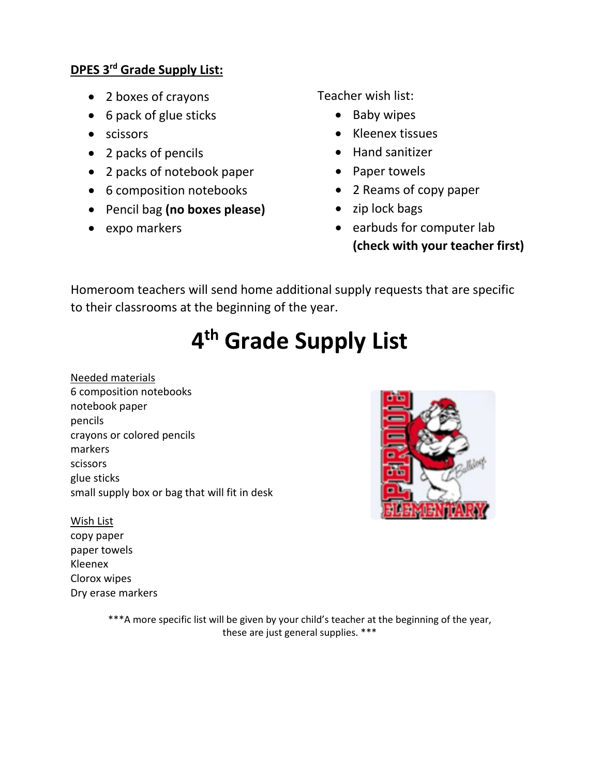## **DPES 3rd Grade Supply List:**

- 2 boxes of crayons
- 6 pack of glue sticks
- scissors
- 2 packs of pencils
- 2 packs of notebook paper
- 6 composition notebooks
- Pencil bag **(no boxes please)**
- expo markers

Teacher wish list:

- Baby wipes
- Kleenex tissues
- Hand sanitizer
- Paper towels
- 2 Reams of copy paper
- zip lock bags
- earbuds for computer lab **(check with your teacher first)**

Homeroom teachers will send home additional supply requests that are specific to their classrooms at the beginning of the year.

## **4th Grade Supply List**

Needed materials 6 composition notebooks notebook paper pencils crayons or colored pencils markers scissors glue sticks small supply box or bag that will fit in desk



copy paper paper towels Kleenex Clorox wipes Dry erase markers



\*\*\*A more specific list will be given by your child's teacher at the beginning of the year, these are just general supplies. \*\*\*